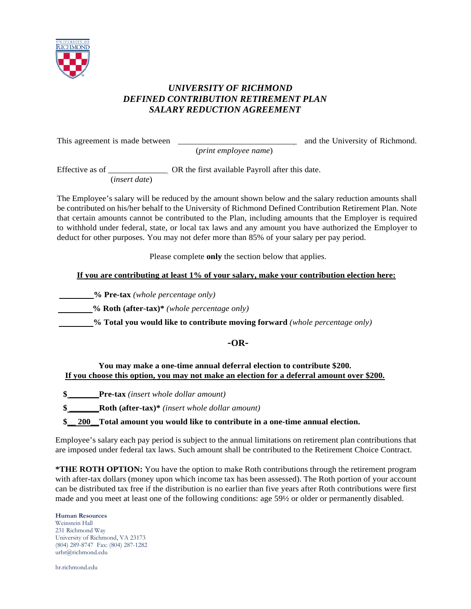

# *UNIVERSITY OF RICHMOND DEFINED CONTRIBUTION RETIREMENT PLAN SALARY REDUCTION AGREEMENT*

This agreement is made between \_\_\_\_\_\_\_\_\_\_\_\_\_\_\_\_\_\_\_\_\_\_\_\_\_\_\_\_ and the University of Richmond.

Effective as of \_\_\_\_\_\_\_\_\_\_\_\_\_\_\_\_\_\_ OR the first available Payroll after this date.

(*insert date*)

The Employee's salary will be reduced by the amount shown below and the salary reduction amounts shall be contributed on his/her behalf to the University of Richmond Defined Contribution Retirement Plan. Note that certain amounts cannot be contributed to the Plan, including amounts that the Employer is required to withhold under federal, state, or local tax laws and any amount you have authorized the Employer to deduct for other purposes. You may not defer more than 85% of your salary per pay period.

(*print employee name*)

Please complete **only** the section below that applies.

# **If you are contributing at least 1% of your salary, make your contribution election here:**

 **% Pre-tax** *(whole percentage only)*

 **% Roth (after-tax)\*** *(whole percentage only)*

 **% Total you would like to contribute moving forward** *(whole percentage only)*

# **-OR-**

### **You may make a one-time annual deferral election to contribute \$200. If you choose this option, you may not make an election for a deferral amount over \$200.**

**\$ \_\_\_\_\_\_\_Pre-tax** *(insert whole dollar amount)*

**\$ \_\_\_\_\_\_\_Roth (after-tax)\*** *(insert whole dollar amount)*

**\$\_\_ 200\_\_Total amount you would like to contribute in a one-time annual election.**

Employee's salary each pay period is subject to the annual limitations on retirement plan contributions that are imposed under federal tax laws. Such amount shall be contributed to the Retirement Choice Contract.

**\*THE ROTH OPTION:** You have the option to make Roth contributions through the retirement program with after-tax dollars (money upon which income tax has been assessed). The Roth portion of your account can be distributed tax free if the distribution is no earlier than five years after Roth contributions were first made and you meet at least one of the following conditions: age 59½ or older or permanently disabled.

### **Human Resources**

Weinstein Hall 231 Richmond Way University of Richmond, VA 23173 (804) 289-8747 Fax: (804) 287-1282 urhr@richmond.edu

hr.richmond.edu